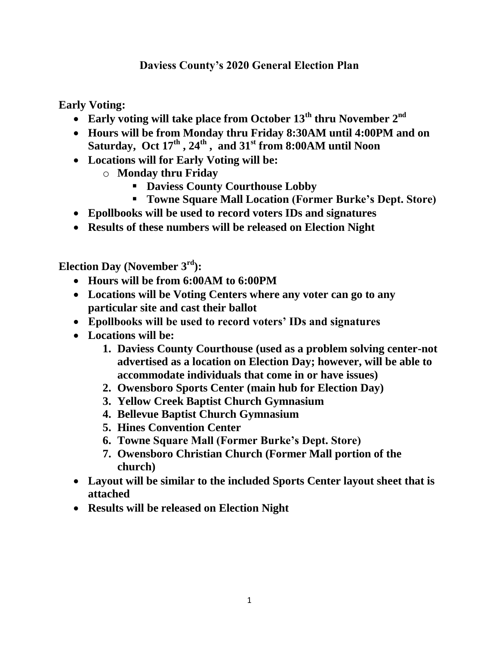## **Daviess County's 2020 General Election Plan**

**Early Voting:**

- **Early voting will take place from October 13th thru November 2nd**
- **Hours will be from Monday thru Friday 8:30AM until 4:00PM and on Saturday, Oct 17th , 24th , and 31st from 8:00AM until Noon**
- **Locations will for Early Voting will be:**
	- o **Monday thru Friday** 
		- **Daviess County Courthouse Lobby**
		- **Towne Square Mall Location (Former Burke's Dept. Store)**
- **Epollbooks will be used to record voters IDs and signatures**
- **Results of these numbers will be released on Election Night**

**Election Day (November 3rd):**

- **Hours will be from 6:00AM to 6:00PM**
- **Locations will be Voting Centers where any voter can go to any particular site and cast their ballot**
- **Epollbooks will be used to record voters' IDs and signatures**
- **Locations will be:**
	- **1. Daviess County Courthouse (used as a problem solving center-not advertised as a location on Election Day; however, will be able to accommodate individuals that come in or have issues)**
	- **2. Owensboro Sports Center (main hub for Election Day)**
	- **3. Yellow Creek Baptist Church Gymnasium**
	- **4. Bellevue Baptist Church Gymnasium**
	- **5. Hines Convention Center**
	- **6. Towne Square Mall (Former Burke's Dept. Store)**
	- **7. Owensboro Christian Church (Former Mall portion of the church)**
- **Layout will be similar to the included Sports Center layout sheet that is attached**
- **Results will be released on Election Night**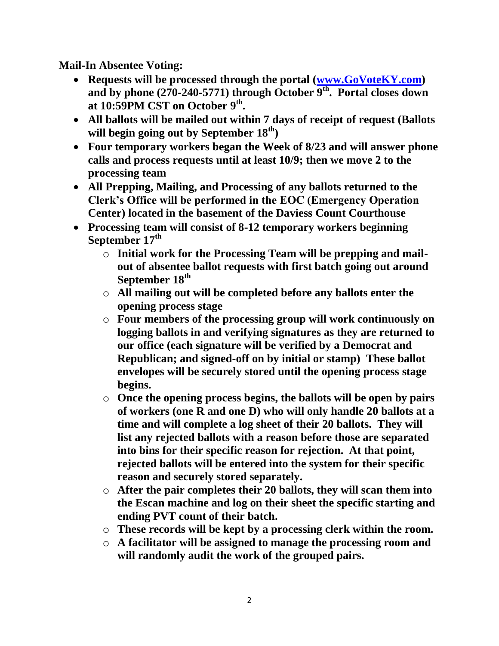**Mail-In Absentee Voting:**

- Requests will be processed through the portal [\(www.GoVoteKY.com\)](http://www.govoteky.com/) **and by phone (270-240-5771) through October 9th. Portal closes down at 10:59PM CST on October 9th .**
- **All ballots will be mailed out within 7 days of receipt of request (Ballots will begin going out by September 18th)**
- **Four temporary workers began the Week of 8/23 and will answer phone calls and process requests until at least 10/9; then we move 2 to the processing team**
- **All Prepping, Mailing, and Processing of any ballots returned to the Clerk's Office will be performed in the EOC (Emergency Operation Center) located in the basement of the Daviess Count Courthouse**
- **Processing team will consist of 8-12 temporary workers beginning September 17th**
	- o **Initial work for the Processing Team will be prepping and mailout of absentee ballot requests with first batch going out around September 18th**
	- o **All mailing out will be completed before any ballots enter the opening process stage**
	- o **Four members of the processing group will work continuously on logging ballots in and verifying signatures as they are returned to our office (each signature will be verified by a Democrat and Republican; and signed-off on by initial or stamp) These ballot envelopes will be securely stored until the opening process stage begins.**
	- o **Once the opening process begins, the ballots will be open by pairs of workers (one R and one D) who will only handle 20 ballots at a time and will complete a log sheet of their 20 ballots. They will list any rejected ballots with a reason before those are separated into bins for their specific reason for rejection. At that point, rejected ballots will be entered into the system for their specific reason and securely stored separately.**
	- o **After the pair completes their 20 ballots, they will scan them into the Escan machine and log on their sheet the specific starting and ending PVT count of their batch.**
	- o **These records will be kept by a processing clerk within the room.**
	- o **A facilitator will be assigned to manage the processing room and will randomly audit the work of the grouped pairs.**